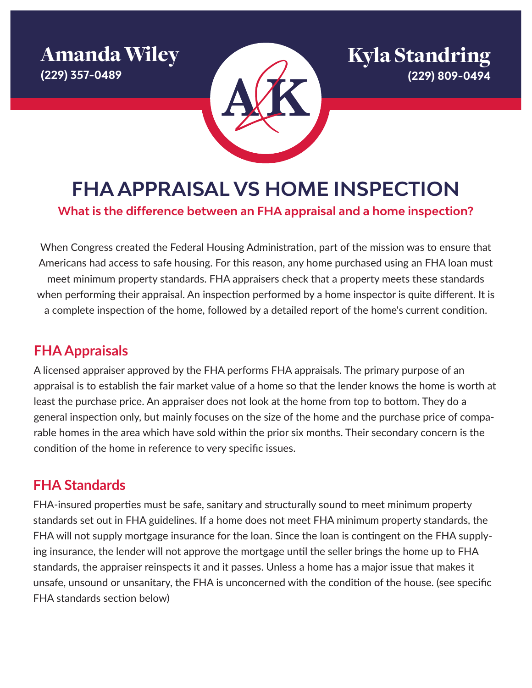Amanda Wiley **(229) 357-0489**



Kyla Standring **(229) 809-0494**

**FHA APPRAISAL VS HOME INSPECTION**

**What is the difference between an FHA appraisal and a home inspection?**

When Congress created the Federal Housing Administration, part of the mission was to ensure that Americans had access to safe housing. For this reason, any home purchased using an FHA loan must meet minimum property standards. FHA appraisers check that a property meets these standards when performing their appraisal. An inspection performed by a home inspector is quite different. It is a complete inspection of the home, followed by a detailed report of the home's current condition.

## **FHA Appraisals**

A licensed appraiser approved by the FHA performs FHA appraisals. The primary purpose of an appraisal is to establish the fair market value of a home so that the lender knows the home is worth at least the purchase price. An appraiser does not look at the home from top to bottom. They do a general inspection only, but mainly focuses on the size of the home and the purchase price of comparable homes in the area which have sold within the prior six months. Their secondary concern is the condition of the home in reference to very specific issues.

# **FHA Standards**

FHA-insured properties must be safe, sanitary and structurally sound to meet minimum property standards set out in FHA guidelines. If a home does not meet FHA minimum property standards, the FHA will not supply mortgage insurance for the loan. Since the loan is contingent on the FHA supplying insurance, the lender will not approve the mortgage until the seller brings the home up to FHA standards, the appraiser reinspects it and it passes. Unless a home has a major issue that makes it unsafe, unsound or unsanitary, the FHA is unconcerned with the condition of the house. (see specific FHA standards section below)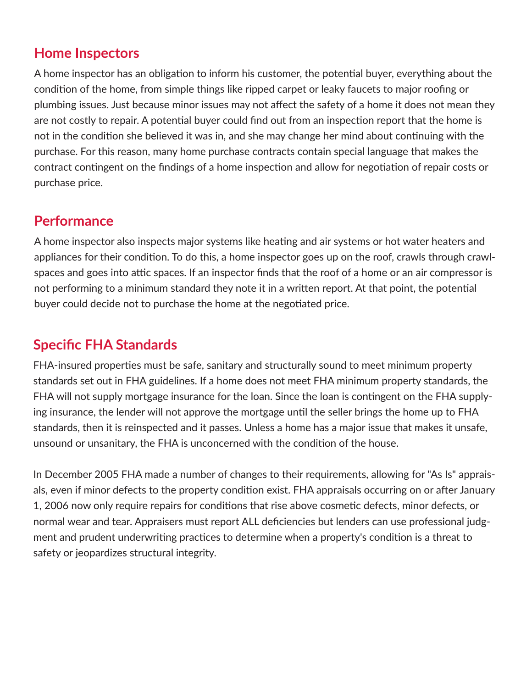### **Home Inspectors**

A home inspector has an obligation to inform his customer, the potential buyer, everything about the condition of the home, from simple things like ripped carpet or leaky faucets to major roofing or plumbing issues. Just because minor issues may not affect the safety of a home it does not mean they are not costly to repair. A potential buyer could find out from an inspection report that the home is not in the condition she believed it was in, and she may change her mind about continuing with the purchase. For this reason, many home purchase contracts contain special language that makes the contract contingent on the findings of a home inspection and allow for negotiation of repair costs or purchase price.

#### **Performance**

A home inspector also inspects major systems like heating and air systems or hot water heaters and appliances for their condition. To do this, a home inspector goes up on the roof, crawls through crawlspaces and goes into attic spaces. If an inspector finds that the roof of a home or an air compressor is not performing to a minimum standard they note it in a written report. At that point, the potential buyer could decide not to purchase the home at the negotiated price.

## **Specific FHA Standards**

FHA-insured properties must be safe, sanitary and structurally sound to meet minimum property standards set out in FHA guidelines. If a home does not meet FHA minimum property standards, the FHA will not supply mortgage insurance for the loan. Since the loan is contingent on the FHA supplying insurance, the lender will not approve the mortgage until the seller brings the home up to FHA standards, then it is reinspected and it passes. Unless a home has a major issue that makes it unsafe, unsound or unsanitary, the FHA is unconcerned with the condition of the house.

In December 2005 FHA made a number of changes to their requirements, allowing for "As Is" appraisals, even if minor defects to the property condition exist. FHA appraisals occurring on or after January 1, 2006 now only require repairs for conditions that rise above cosmetic defects, minor defects, or normal wear and tear. Appraisers must report ALL deficiencies but lenders can use professional judgment and prudent underwriting practices to determine when a property's condition is a threat to safety or jeopardizes structural integrity.